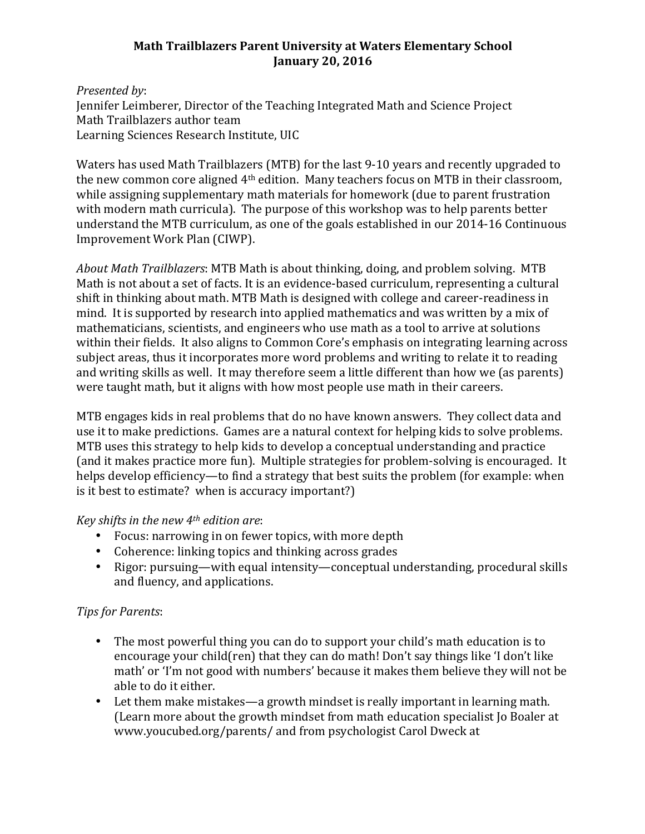## **Math Trailblazers Parent University at Waters Elementary School January 20, 2016**

## *Presented by*: Jennifer Leimberer, Director of the Teaching Integrated Math and Science Project Math Trailblazers author team Learning Sciences Research Institute, UIC

Waters has used Math Trailblazers (MTB) for the last 9-10 years and recently upgraded to the new common core aligned  $4<sup>th</sup>$  edition. Many teachers focus on MTB in their classroom, while assigning supplementary math materials for homework (due to parent frustration with modern math curricula). The purpose of this workshop was to help parents better understand the MTB curriculum, as one of the goals established in our 2014-16 Continuous Improvement Work Plan (CIWP).

*About Math Trailblazers*: MTB Math is about thinking, doing, and problem solving. MTB Math is not about a set of facts. It is an evidence-based curriculum, representing a cultural shift in thinking about math. MTB Math is designed with college and career-readiness in mind. It is supported by research into applied mathematics and was written by a mix of mathematicians, scientists, and engineers who use math as a tool to arrive at solutions within their fields. It also aligns to Common Core's emphasis on integrating learning across subject areas, thus it incorporates more word problems and writing to relate it to reading and writing skills as well. It may therefore seem a little different than how we (as parents) were taught math, but it aligns with how most people use math in their careers.

MTB engages kids in real problems that do no have known answers. They collect data and use it to make predictions. Games are a natural context for helping kids to solve problems. MTB uses this strategy to help kids to develop a conceptual understanding and practice (and it makes practice more fun). Multiple strategies for problem-solving is encouraged. It helps develop efficiency—to find a strategy that best suits the problem (for example: when is it best to estimate? when is accuracy important?)

## *Key shifts in the new 4<sup>th</sup> edition are:*

- Focus: narrowing in on fewer topics, with more depth
- Coherence: linking topics and thinking across grades
- Rigor: pursuing—with equal intensity—conceptual understanding, procedural skills and fluency, and applications.

## *Tips for Parents*:

- The most powerful thing you can do to support your child's math education is to encourage your child(ren) that they can do math! Don't say things like 'I don't like math' or 'I'm not good with numbers' because it makes them believe they will not be able to do it either.
- Let them make mistakes—a growth mindset is really important in learning math. (Learn more about the growth mindset from math education specialist Io Boaler at www.youcubed.org/parents/ and from psychologist Carol Dweck at